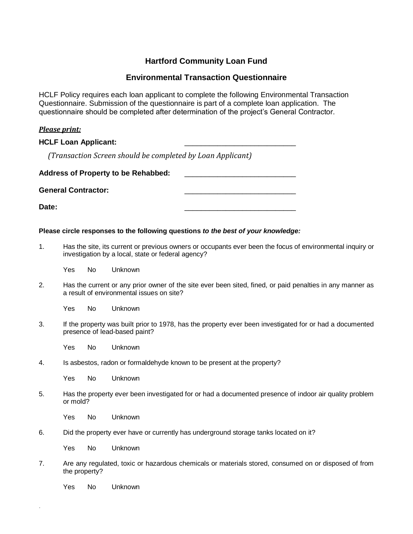# **Hartford Community Loan Fund**

## **Environmental Transaction Questionnaire**

HCLF Policy requires each loan applicant to complete the following Environmental Transaction Questionnaire. Submission of the questionnaire is part of a complete loan application. The questionnaire should be completed after determination of the project's General Contractor.

### *Please print:*

#### **HCLF Loan Applicant:**

*(Transaction Screen should be completed by Loan Applicant)*

| <b>Address of Property to be Rehabbed:</b> |  |
|--------------------------------------------|--|
| <b>General Contractor:</b>                 |  |

**Date:** \_\_\_\_\_\_\_\_\_\_\_\_\_\_\_\_\_\_\_\_\_\_\_\_\_\_\_

#### **Please circle responses to the following questions** *to the best of your knowledge:*

1. Has the site, its current or previous owners or occupants ever been the focus of environmental inquiry or investigation by a local, state or federal agency?

Yes No Unknown

2. Has the current or any prior owner of the site ever been sited, fined, or paid penalties in any manner as a result of environmental issues on site?

Yes No Unknown

3. If the property was built prior to 1978, has the property ever been investigated for or had a documented presence of lead-based paint?

Yes No Unknown

4. Is asbestos, radon or formaldehyde known to be present at the property?

Yes No Unknown

5. Has the property ever been investigated for or had a documented presence of indoor air quality problem or mold?

Yes No Unknown

6. Did the property ever have or currently has underground storage tanks located on it?

Yes No Unknown

7. Are any regulated, toxic or hazardous chemicals or materials stored, consumed on or disposed of from the property?

Yes No Unknown

.